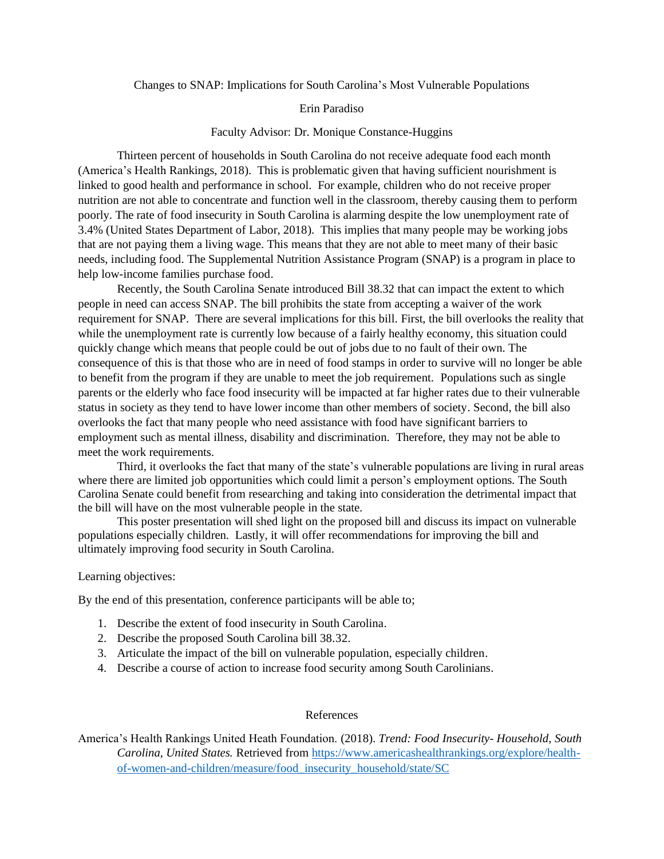Changes to SNAP: Implications for South Carolina's Most Vulnerable Populations

## Erin Paradiso

## Faculty Advisor: Dr. Monique Constance-Huggins

Thirteen percent of households in South Carolina do not receive adequate food each month (America's Health Rankings, 2018). This is problematic given that having sufficient nourishment is linked to good health and performance in school. For example, children who do not receive proper nutrition are not able to concentrate and function well in the classroom, thereby causing them to perform poorly. The rate of food insecurity in South Carolina is alarming despite the low unemployment rate of 3.4% (United States Department of Labor, 2018). This implies that many people may be working jobs that are not paying them a living wage. This means that they are not able to meet many of their basic needs, including food. The Supplemental Nutrition Assistance Program (SNAP) is a program in place to help low-income families purchase food.

Recently, the South Carolina Senate introduced Bill 38.32 that can impact the extent to which people in need can access SNAP. The bill prohibits the state from accepting a waiver of the work requirement for SNAP. There are several implications for this bill. First, the bill overlooks the reality that while the unemployment rate is currently low because of a fairly healthy economy, this situation could quickly change which means that people could be out of jobs due to no fault of their own. The consequence of this is that those who are in need of food stamps in order to survive will no longer be able to benefit from the program if they are unable to meet the job requirement. Populations such as single parents or the elderly who face food insecurity will be impacted at far higher rates due to their vulnerable status in society as they tend to have lower income than other members of society. Second, the bill also overlooks the fact that many people who need assistance with food have significant barriers to employment such as mental illness, disability and discrimination. Therefore, they may not be able to meet the work requirements.

Third, it overlooks the fact that many of the state's vulnerable populations are living in rural areas where there are limited job opportunities which could limit a person's employment options. The South Carolina Senate could benefit from researching and taking into consideration the detrimental impact that the bill will have on the most vulnerable people in the state.

This poster presentation will shed light on the proposed bill and discuss its impact on vulnerable populations especially children. Lastly, it will offer recommendations for improving the bill and ultimately improving food security in South Carolina.

## Learning objectives:

By the end of this presentation, conference participants will be able to;

- 1. Describe the extent of food insecurity in South Carolina.
- 2. Describe the proposed South Carolina bill 38.32.
- 3. Articulate the impact of the bill on vulnerable population, especially children.
- 4. Describe a course of action to increase food security among South Carolinians.

## References

America's Health Rankings United Heath Foundation. (2018). *Trend: Food Insecurity- Household, South Carolina, United States.* Retrieved from [https://www.americashealthrankings.org/explore/health](https://www.americashealthrankings.org/explore/health-of-women-and-children/measure/food_insecurity_household/state/SC)[of-women-and-children/measure/food\\_insecurity\\_household/state/SC](https://www.americashealthrankings.org/explore/health-of-women-and-children/measure/food_insecurity_household/state/SC)